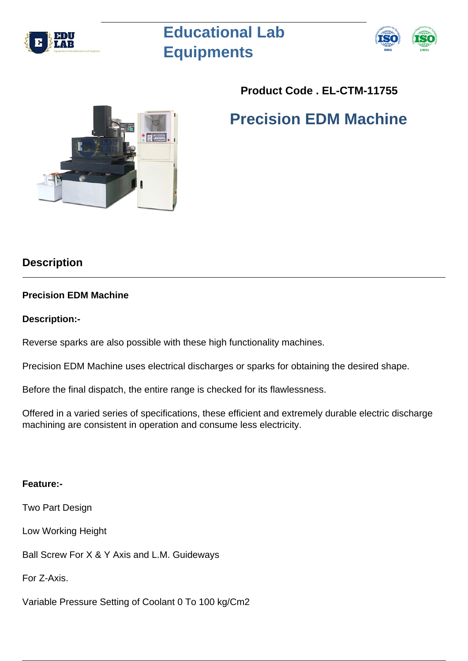

# **Educational Lab Equipments**



# **Product Code . EL-CTM-11755**

# **Precision EDM Machine**

# **Description**

## **Precision EDM Machine**

## **Description:-**

Reverse sparks are also possible with these high functionality machines.

Precision EDM Machine uses electrical discharges or sparks for obtaining the desired shape.

Before the final dispatch, the entire range is checked for its flawlessness.

Offered in a varied series of specifications, these efficient and extremely durable electric discharge machining are consistent in operation and consume less electricity.

## **Feature:-**

Two Part Design

Low Working Height

Ball Screw For X & Y Axis and L.M. Guideways

For Z-Axis.

Variable Pressure Setting of Coolant 0 To 100 kg/Cm2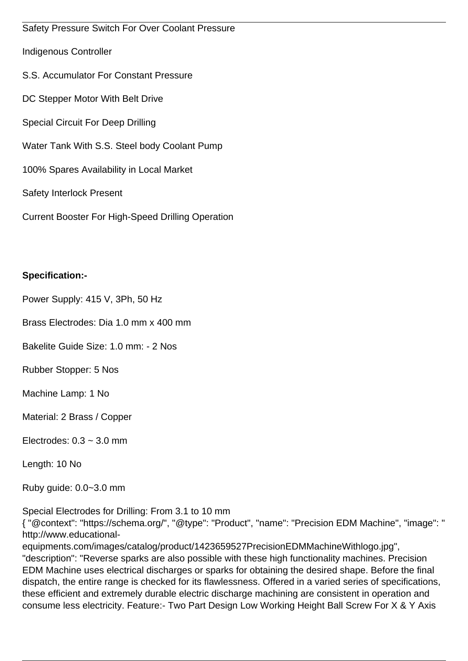Safety Pressure Switch For Over Coolant Pressure Indigenous Controller S.S. Accumulator For Constant Pressure DC Stepper Motor With Belt Drive Special Circuit For Deep Drilling Water Tank With S.S. Steel body Coolant Pump 100% Spares Availability in Local Market Safety Interlock Present Current Booster For High-Speed Drilling Operation

## **Specification:-**

Power Supply: 415 V, 3Ph, 50 Hz

Brass Electrodes: Dia 1.0 mm x 400 mm

Bakelite Guide Size: 1.0 mm: - 2 Nos

Rubber Stopper: 5 Nos

Machine Lamp: 1 No

Material: 2 Brass / Copper

Electrodes:  $0.3 \sim 3.0$  mm

Length: 10 No

Ruby guide: 0.0~3.0 mm

Special Electrodes for Drilling: From 3.1 to 10 mm

{ "@context": "https://schema.org/", "@type": "Product", "name": "Precision EDM Machine", "image": " http://www.educational-

equipments.com/images/catalog/product/1423659527PrecisionEDMMachineWithlogo.jpg", "description": "Reverse sparks are also possible with these high functionality machines. Precision EDM Machine uses electrical discharges or sparks for obtaining the desired shape. Before the final dispatch, the entire range is checked for its flawlessness. Offered in a varied series of specifications, these efficient and extremely durable electric discharge machining are consistent in operation and consume less electricity. Feature:- Two Part Design Low Working Height Ball Screw For X & Y Axis